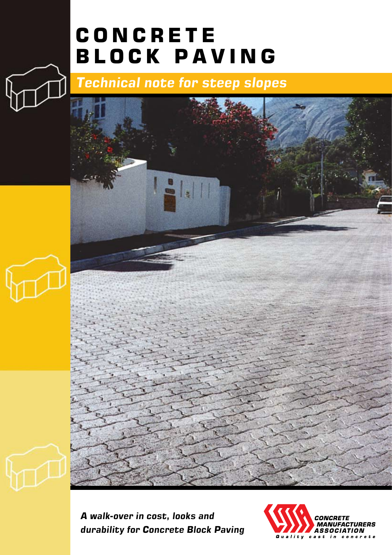# **CONCRETE BLOCK PAVING**

*Technical note for steep slopes*



*A walk-over in cost, looks and durability for Concrete Block Paving*

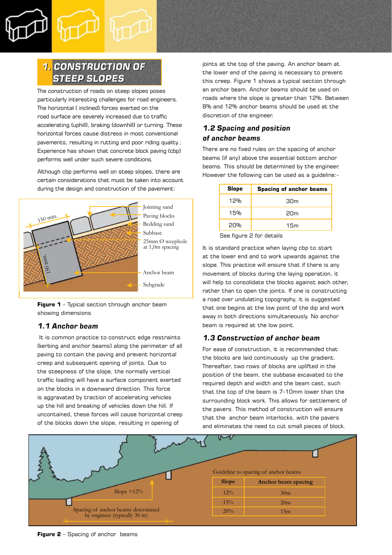

# *1. CONSTRUCTION OF 1. CONSTRUCTION OF STEEP SLOPES STEEP SLOPES*

The construction of roads on steep slopes poses particularly interesting challenges for road engineers. The horizontal ( inclined) forces exerted on the road surface are severely increased due to traffic accelerating (uphill), braking (downhill) or turning. These horizontal forces cause distress in most conventional pavements, resulting in rutting and poor riding quality.; Experience has shown that concrete block paving (cbp) performs well under such severe conditions.

Although cbp performs well on steep slopes, there are certain considerations that must be taken into account during the design and construction of the pavement:



**Figure 1** – Typical section through anchor beam showing dimensions

### *1.1 Anchor beam*

 It is common practice to construct edge restraints (kerbing and anchor beams) along the perimeter of all paving to contain the paving and prevent horizontal creep and subsequent opening of joints. Due to the steepness of the slope, the normally vertical traffic loading will have a surface component exerted on the blocks in a downward direction. This force is aggravated by traction of accelerating vehicles up the hill and breaking of vehicles down the hill. If uncontained, these forces will cause horizontal creep of the blocks down the slope, resulting in opening of

joints at the top of the paving. An anchor beam at the lower end of the paving is necessary to prevent this creep. Figure 1 shows a typical section through an anchor beam. Anchor beams should be used on roads where the slope is greater than 12%. Between 8% and 12% anchor beams should be used at the discretion of the engineer.

# *1.2 Spacing and position of anchor beams*

There are no fixed rules on the spacing of anchor beams (if any) above the essential bottom anchor beams. This should be determined by the engineer. However the following can be used as a guideline:-

| <b>Slope</b>          | <b>Spacing of anchor beams</b> |  |
|-----------------------|--------------------------------|--|
| 12%                   | 30m                            |  |
| 15%                   | 20 <sub>m</sub>                |  |
| 20%                   | 15m                            |  |
| <b>0.0.0.00.0.0.0</b> |                                |  |

See figure 2 for details

It is standard practice when laying cbp to start at the lower end and to work upwards against the slope. This practice will ensure that if there is any movement of blocks during the laying operation, it will help to consolidate the blocks against each other, rather than to open the joints. If one is constructing a road over undulating topography, it is suggested that one begins at the low point of the dip and work away in both directions simultaneously. No anchor beam is required at the low point.

### *1.3 Construction of anchor beam*

For ease of construction, it is recommended that the blocks are laid continuously up the gradient. Thereafter, two rows of blocks are uplifted in the position of the beam, the subbase excavated to the required depth and width and the beam cast, such that the top of the beam is 7-10mm lower than the surrounding block work. This allows for settlement of the pavers. This method of construction will ensure that the anchor beam interlocks, with the pavers and eliminates the need to cut small pieces of block.



**Figure 2** – Spacing of anchor beams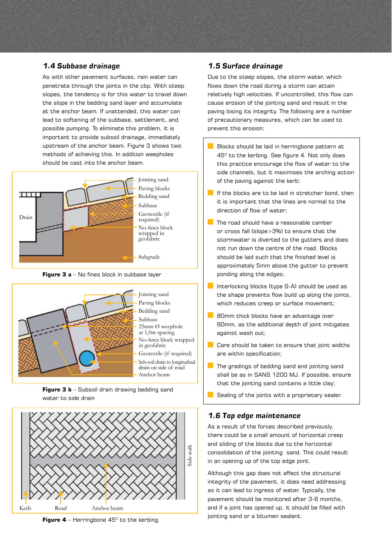### *1.4 Subbase drainage*

As with other pavement surfaces, rain water can penetrate through the joints in the cbp. With steep slopes, the tendency is for this water to travel down the slope in the bedding sand layer and accumulate at the anchor beam. If unattended, this water can lead to softening of the subbase, settlement, and possible pumping. To eliminate this problem, it is important to provide subsoil drainage, immediately upstream of the anchor beam. Figure 3 shows two methods of achieving this. In addition weepholes should be cast into the anchor beam.



Jointing sand Paving blocks Bedding sand Geotextile (if required) No-fines block wrapped in geofabric

Subgrade









### *1.5 Surface drainage*

Due to the steep slopes, the storm water, which flows down the road during a storm can attain relatively high velocities. If uncontrolled, this flow can cause erosion of the jointing sand and result in the paving losing its integrity. The following are a number of precautionary measures, which can be used to prevent this erosion:

- Blocks should be laid in herringbone pattern at  $45^{\circ}$  to the kerbing. See figure 4. Not only does this practice encourage the flow of water to the side channels, but it maximises the arching action of the paving against the kerb;
- $\blacksquare$  If the blocks are to be laid in stretcher bond, then it is important that the lines are normal to the direction of flow of water;
- $\Box$  The road should have a reasonable camber or cross fall (slope>3%) to ensure that the stormwater is diverted to the gutters and does not run down the centre of the road. Blocks should be laid such that the finished level is approximately 5mm above the gutter to prevent ponding along the edges;
- Interlocking blocks (type S-A) should be used as the shape prevents flow build up along the joints, which reduces creep or surface movement:
- **80mm thick blocks have an advantage over** 60mm, as the additional depth of joint mitigates against wash out;
- $\Box$  Care should be taken to ensure that joint widths are within specification;
- $\Box$  The gradings of bedding sand and jointing sand shall be as in SANS 1200 MJ. If possible, ensure that the jointing sand contains a little clay;
- $\Box$  Sealing of the joints with a proprietary sealer.

### *1.6 Top edge maintenance*

As a result of the forces described previously, there could be a small amount of horizontal creep and sliding of the blocks due to the horizontal consolidation of the jointing sand. This could result in an opening up of the top edge joint.

Although this gap does not affect the structural integrity of the pavement, it does need addressing as it can lead to ingress of water. Typically, the pavement should be monitored after 3-6 months, and if a joint has opened up, it should be filled with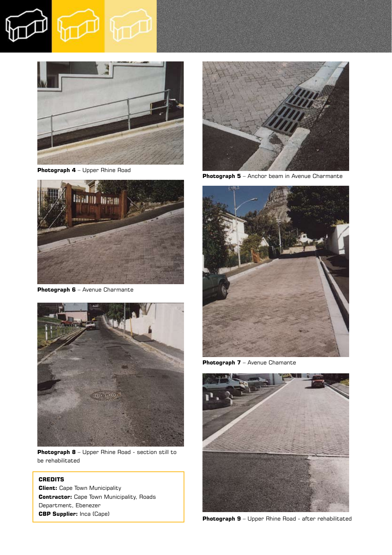

**Photograph 4** – Upper Rhine Road



**Photograph 6** – Avenue Charmante



**Photograph 8** – Upper Rhine Road - section still to be rehabilitated

## **CREDITS**

**Client:** Cape Town Municipality **Contractor:** Cape Town Municipality, Roads Department, Ebenezer **CBP Supplier:** Inca (Cape)



**Photograph 5** – Anchor beam in Avenue Charmante



**Photograph 7** – Avenue Chamante



**Photograph 9** – Upper Rhine Road - after rehabilitated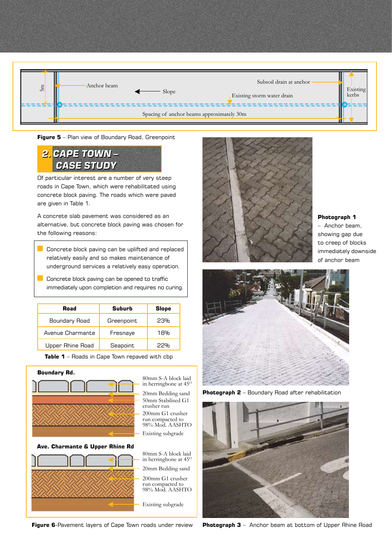

**Figure 5** – Plan view of Boundary Road, Greenpoint

# *2. CAPE TOWN – 2. CAPE TOWN – CASE STUDY CASE STUDY*

Of particular interest are a number of very steep roads in Cape Town, which were rehabilitated using concrete block paving. The roads which were paved are given in Table 1.

A concrete slab pavement was considered as an alternative, but concrete block paving was chosen for the following reasons:

**Concrete block paving can be uplifted and replaced** relatively easily and so makes maintenance of underground services a relatively easy operation.

**Concrete block paving can be opened to traffic** immediately upon completion and requires no curing.

| Road             | Suburb     | <b>Slope</b> |
|------------------|------------|--------------|
| Boundary Road    | Greenpoint | 23%          |
| Avenue Charmante | Fresnaye   | 18%          |
| Upper Rhine Road | Seapoint   | フフ%          |

**Table 1** – Roads in Cape Town repaved with cbp



50mm Stabilised G1 Existing subgrade in herringbone at  $45^\circ$ 200mm G1 crusher run compacted to 98% Mod. AASHTO 20mm Bedding sand



**Figure 6**-Pavement layers of Cape Town roads under review



### **Photograph 1**

– Anchor beam, showing gap due to creep of blocks immediately downside of anchor beam



**Photograph 2** – Boundary Road after rehabilitation



**Photograph 3** – Anchor beam at bottom of Upper Rhine Road